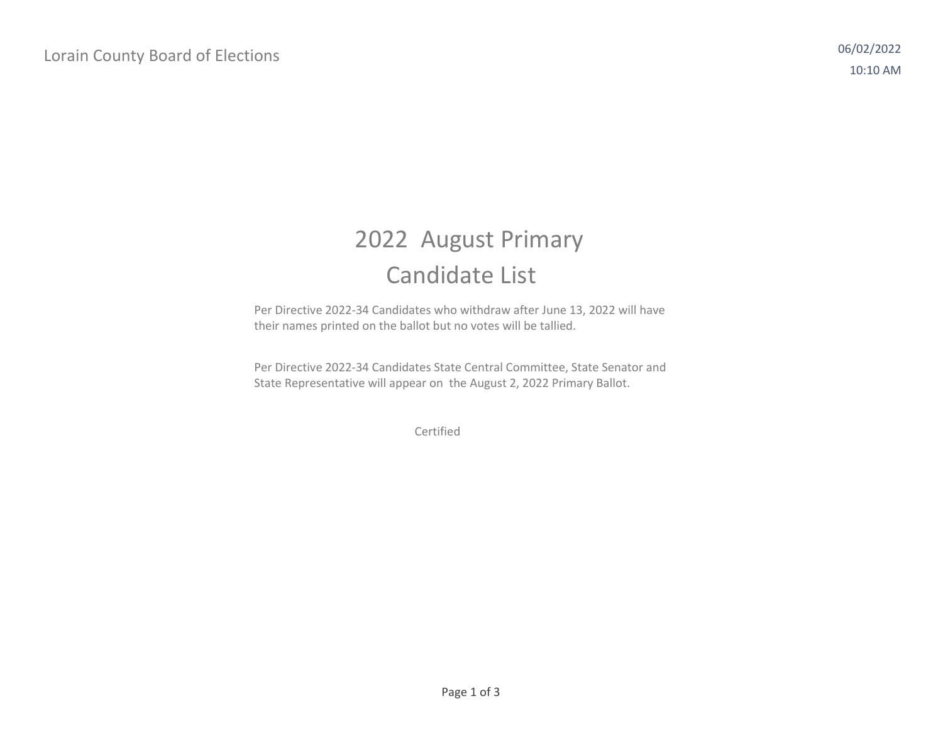## 2022 August Primary Candidate List

Per Directive 2022‐34 Candidates who withdraw after June 13, 2022 will have their names printed on the ballot but no votes will be tallied.

Per Directive 2022‐34 Candidates State Central Committee, State Senator and State Representative will appear on the August 2, 2022 Primary Ballot.

Certified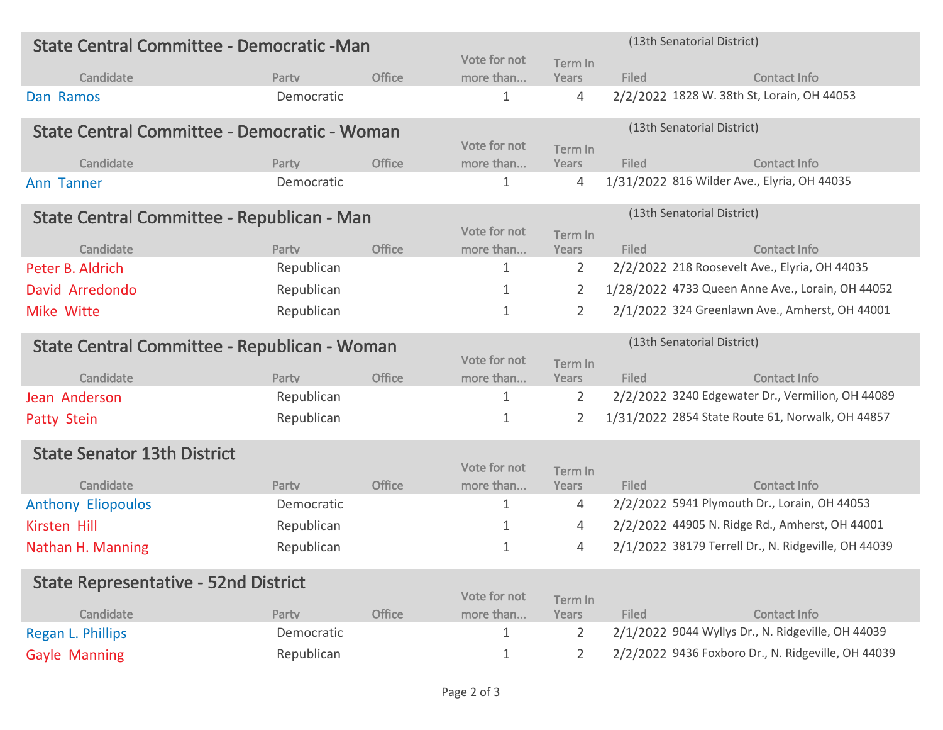| State Central Committee - Democratic - Man   |            |               | (13th Senatorial District) |                            |              |                                                     |  |
|----------------------------------------------|------------|---------------|----------------------------|----------------------------|--------------|-----------------------------------------------------|--|
|                                              |            |               | Vote for not               | Term In                    |              |                                                     |  |
| Candidate                                    | Party      | <b>Office</b> | more than                  | Years                      | <b>Filed</b> | <b>Contact Info</b>                                 |  |
| Dan Ramos                                    | Democratic |               | 1                          | 4                          |              | 2/2/2022 1828 W. 38th St, Lorain, OH 44053          |  |
| State Central Committee - Democratic - Woman |            |               |                            | (13th Senatorial District) |              |                                                     |  |
|                                              |            |               | Vote for not               | Term In                    |              |                                                     |  |
| Candidate                                    | Party      | <b>Office</b> | more than                  | Years                      | <b>Filed</b> | <b>Contact Info</b>                                 |  |
| <b>Ann Tanner</b>                            | Democratic |               | 1                          | 4                          |              | 1/31/2022 816 Wilder Ave., Elyria, OH 44035         |  |
| State Central Committee - Republican - Man   |            |               |                            | (13th Senatorial District) |              |                                                     |  |
|                                              |            |               | Vote for not               | Term In                    |              |                                                     |  |
| Candidate                                    | Party      | <b>Office</b> | more than                  | Years                      | <b>Filed</b> | <b>Contact Info</b>                                 |  |
| Peter B. Aldrich                             | Republican |               | 1                          | 2                          |              | 2/2/2022 218 Roosevelt Ave., Elyria, OH 44035       |  |
| David Arredondo                              | Republican |               | 1                          | 2                          |              | 1/28/2022 4733 Queen Anne Ave., Lorain, OH 44052    |  |
| Mike Witte                                   | Republican |               | 1                          | 2                          |              | 2/1/2022 324 Greenlawn Ave., Amherst, OH 44001      |  |
| State Central Committee - Republican - Woman |            |               |                            | (13th Senatorial District) |              |                                                     |  |
|                                              |            |               | Vote for not               | Term In                    |              |                                                     |  |
| Candidate                                    | Party      | <b>Office</b> | more than                  | Years                      | <b>Filed</b> | <b>Contact Info</b>                                 |  |
| Jean Anderson                                | Republican |               | 1                          | 2                          |              | 2/2/2022 3240 Edgewater Dr., Vermilion, OH 44089    |  |
| <b>Patty Stein</b>                           | Republican |               | 1                          | 2                          |              | 1/31/2022 2854 State Route 61, Norwalk, OH 44857    |  |
| <b>State Senator 13th District</b>           |            |               |                            |                            |              |                                                     |  |
|                                              |            |               | Vote for not               | Term In                    |              |                                                     |  |
| Candidate                                    | Party      | <b>Office</b> | more than                  | Years                      | <b>Filed</b> | <b>Contact Info</b>                                 |  |
| <b>Anthony Eliopoulos</b>                    | Democratic |               | 1                          | 4                          |              | 2/2/2022 5941 Plymouth Dr., Lorain, OH 44053        |  |
| Kirsten Hill                                 | Republican |               | 1                          | 4                          |              | 2/2/2022 44905 N. Ridge Rd., Amherst, OH 44001      |  |
| Nathan H. Manning                            | Republican |               | 1                          | 4                          |              | 2/1/2022 38179 Terrell Dr., N. Ridgeville, OH 44039 |  |
| <b>State Representative - 52nd District</b>  |            |               |                            |                            |              |                                                     |  |
|                                              |            |               | Vote for not               | Term In                    |              |                                                     |  |
| Candidate                                    | Party      | <b>Office</b> | more than                  | Years                      | <b>Filed</b> | <b>Contact Info</b>                                 |  |
| Regan L. Phillips                            | Democratic |               | 1                          | 2                          |              | 2/1/2022 9044 Wyllys Dr., N. Ridgeville, OH 44039   |  |
| <b>Gayle Manning</b>                         | Republican |               | 1                          | $\overline{2}$             |              | 2/2/2022 9436 Foxboro Dr., N. Ridgeville, OH 44039  |  |